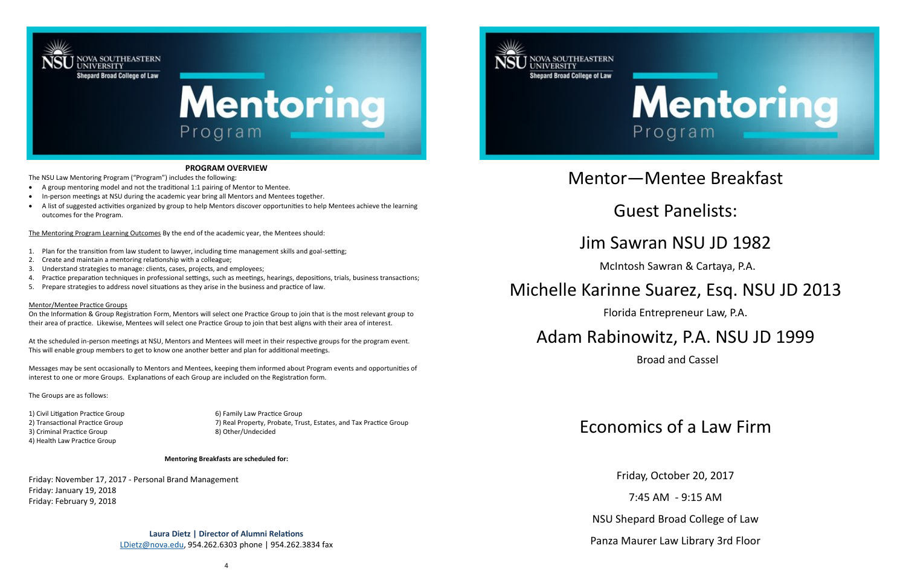



### **PROGRAM OVERVIEW**

The NSU Law Mentoring Program ("Program") includes the following:

- A group mentoring model and not the traditional 1:1 pairing of Mentor to Mentee.
- In-person meetings at NSU during the academic year bring all Mentors and Mentees together.
- A list of suggested activities organized by group to help Mentors discover opportunities to help Mentees achieve the learning outcomes for the Program.

The Mentoring Program Learning Outcomes By the end of the academic year, the Mentees should:

- 1. Plan for the transition from law student to lawyer, including time management skills and goal-setting;
- 2. Create and maintain a mentoring relationship with a colleague;
- 3. Understand strategies to manage: clients, cases, projects, and employees;
- 4. Practice preparation techniques in professional settings, such as meetings, hearings, depositions, trials, business transactions;
- 5. Prepare strategies to address novel situations as they arise in the business and practice of law.

#### Mentor/Mentee Practice Groups

On the Information & Group Registration Form, Mentors will select one Practice Group to join that is the most relevant group to their area of practice. Likewise, Mentees will select one Practice Group to join that best aligns with their area of interest.

At the scheduled in-person meetings at NSU, Mentors and Mentees will meet in their respective groups for the program event. This will enable group members to get to know one another better and plan for additional meetings.

Messages may be sent occasionally to Mentors and Mentees, keeping them informed about Program events and opportunities of interest to one or more Groups. Explanations of each Group are included on the Registration form.

The Groups are as follows:

2) Transactional Practice Group 7) Real Property, Probate, Trust, Estates, and Tax Practice Group

1) Civil Litigation Practice Group 6) Family Law Practice Group 3) Criminal Practice Group 8) Other/Undecided 4) Health Law Practice Group

**Mentoring Breakfasts are scheduled for:**

Friday: November 17, 2017 - Personal Brand Management Friday: January 19, 2018 Friday: February 9, 2018

> **Laura Dietz | Director of Alumni Relations** [LDietz@nova.edu,](mailto:minicucc@nova.edu) 954.262.6303 phone | 954.262.3834 fax



**NOVA SOUTHEASTERN** 

**JNIVERSITY** 

### Mentor—Mentee Breakfast

# Guest Panelists:

### Jim Sawran NSU JD 1982

McIntosh Sawran & Cartaya, P.A.

### Michelle Karinne Suarez, Esq. NSU JD 2013

Florida Entrepreneur Law, P.A.

## Adam Rabinowitz, P.A. NSU JD 1999

Broad and Cassel

## Economics of a Law Firm

Friday, October 20, 2017

7:45 AM - 9:15 AM

NSU Shepard Broad College of Law

Panza Maurer Law Library 3rd Floor